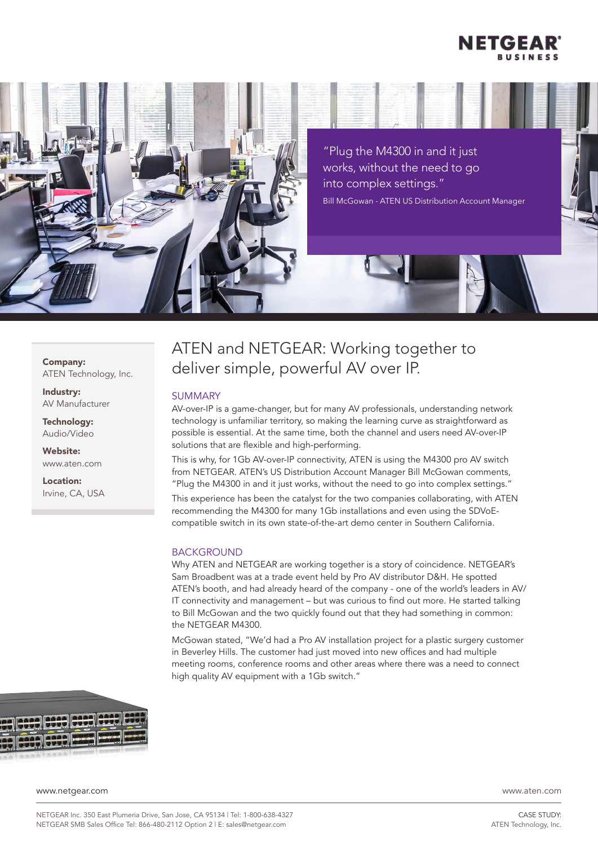



Company: ATEN Technology, Inc.

Industry: AV Manufacturer

Technology: Audio/Video

Website: www.aten.com

Location: Irvine, CA, USA

# ATEN and NETGEAR: Working together to deliver simple, powerful AV over IP.

### SUMMARY

AV-over-IP is a game-changer, but for many AV professionals, understanding network technology is unfamiliar territory, so making the learning curve as straightforward as possible is essential. At the same time, both the channel and users need AV-over-IP solutions that are flexible and high-performing.

This is why, for 1Gb AV-over-IP connectivity, ATEN is using the M4300 pro AV switch from NETGEAR. ATEN's US Distribution Account Manager Bill McGowan comments, "Plug the M4300 in and it just works, without the need to go into complex settings."

This experience has been the catalyst for the two companies collaborating, with ATEN recommending the M4300 for many 1Gb installations and even using the SDVoEcompatible switch in its own state-of-the-art demo center in Southern California.

### BACKGROUND

Why ATEN and NETGEAR are working together is a story of coincidence. NETGEAR's Sam Broadbent was at a trade event held by Pro AV distributor D&H. He spotted ATEN's booth, and had already heard of the company - one of the world's leaders in AV/ IT connectivity and management – but was curious to find out more. He started talking to Bill McGowan and the two quickly found out that they had something in common: the NETGEAR M4300.

McGowan stated, "We'd had a Pro AV installation project for a plastic surgery customer in Beverley Hills. The customer had just moved into new offices and had multiple meeting rooms, conference rooms and other areas where there was a need to connect high quality AV equipment with a 1Gb switch."



www.netgear.com www.aten.com